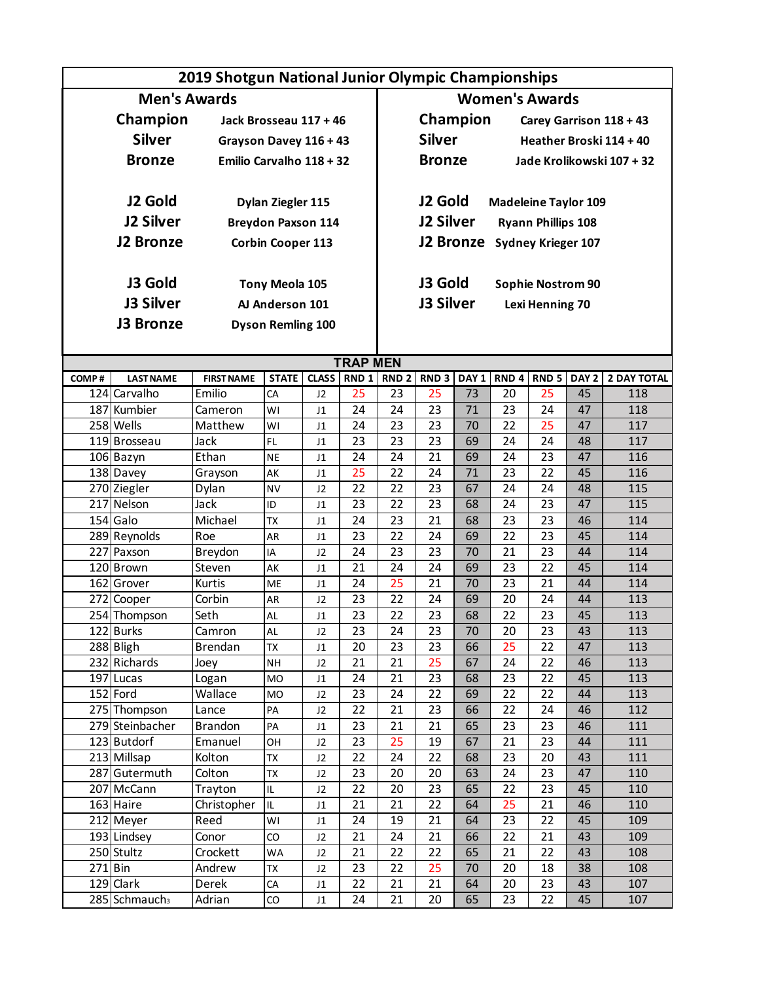|                     |                           | 2019 Shotgun National Junior Olympic Championships |
|---------------------|---------------------------|----------------------------------------------------|
| <b>Men's Awards</b> |                           | <b>Women's Awards</b>                              |
| Champion            | Jack Brosseau 117 + 46    | Champion<br>Carey Garrison 118 + 43                |
| <b>Silver</b>       | Grayson Davey 116 + 43    | <b>Silver</b><br>Heather Broski 114 + 40           |
| <b>Bronze</b>       | Emilio Carvalho 118 + 32  | <b>Bronze</b><br>Jade Krolikowski 107 + 32         |
| J2 Gold             | Dylan Ziegler 115         | J <sub>2</sub> Gold<br><b>Madeleine Taylor 109</b> |
| <b>J2 Silver</b>    | <b>Breydon Paxson 114</b> | <b>J2 Silver</b><br><b>Ryann Phillips 108</b>      |
| <b>J2 Bronze</b>    | <b>Corbin Cooper 113</b>  | J2 Bronze<br><b>Sydney Krieger 107</b>             |
| J3 Gold             | Tony Meola 105            | J3 Gold<br><b>Sophie Nostrom 90</b>                |
| <b>J3 Silver</b>    | AJ Anderson 101           | J3 Silver<br>Lexi Henning 70                       |
| <b>J3 Bronze</b>    | <b>Dyson Remling 100</b>  |                                                    |

### **TRAP MEN**

Ī

| COMP# | <b>LAST NAME</b>            | <b>FIRST NAME</b> | <b>STATE</b>   | <b>CLASS</b> | RND <sub>1</sub> | RND <sub>2</sub> | RND <sub>3</sub> | DAY <sub>1</sub> | RND <sub>4</sub> | RND <sub>5</sub> | DAY <sub>2</sub> | <b>2 DAY TOTAL</b> |
|-------|-----------------------------|-------------------|----------------|--------------|------------------|------------------|------------------|------------------|------------------|------------------|------------------|--------------------|
|       | 124 Carvalho                | Emilio            | CA             | J2           | 25               | 23               | 25               | 73               | 20               | 25               | 45               | 118                |
|       | 187 Kumbier                 | Cameron           | WI             | J1           | 24               | 24               | $\overline{23}$  | 71               | $\overline{23}$  | $\overline{24}$  | 47               | 118                |
|       | 258 Wells                   | Matthew           | WI             | J1           | 24               | 23               | $\overline{23}$  | 70               | $\overline{22}$  | $\overline{25}$  | 47               | 117                |
|       | 119 Brosseau                | Jack              | FL.            | J1           | 23               | 23               | $\overline{23}$  | 69               | 24               | 24               | 48               | 117                |
|       | 106 Bazyn                   | Ethan             | <b>NE</b>      | J1           | 24               | 24               | 21               | 69               | 24               | 23               | 47               | 116                |
|       | 138 Davey                   | Grayson           | AK             | J1           | 25               | 22               | 24               | 71               | 23               | 22               | 45               | 116                |
|       | 270 Ziegler                 | Dylan             | <b>NV</b>      | J2           | 22               | 22               | $\overline{23}$  | 67               | 24               | 24               | 48               | 115                |
|       | 217 Nelson                  | Jack              | ID             | J1           | 23               | 22               | $\overline{23}$  | 68               | 24               | 23               | 47               | 115                |
|       | 154 Galo                    | Michael           | <b>TX</b>      | J1           | 24               | $\overline{23}$  | $\overline{21}$  | 68               | $\overline{23}$  | 23               | 46               | 114                |
|       | 289 Reynolds                | Roe               | AR             | J1           | 23               | 22               | $\overline{24}$  | 69               | $\overline{22}$  | 23               | 45               | 114                |
|       | 227 Paxson                  | Breydon           | IA             | J2           | 24               | 23               | $\overline{23}$  | 70               | $\overline{21}$  | $\overline{23}$  | 44               | 114                |
|       | 120 Brown                   | Steven            | AK             | J1           | $\overline{21}$  | $\overline{24}$  | $\overline{24}$  | 69               | $\overline{23}$  | $\overline{22}$  | 45               | 114                |
|       | 162 Grover                  | Kurtis            | ME             | J1           | 24               | 25               | $\overline{21}$  | 70               | $\overline{23}$  | $\overline{21}$  | 44               | 114                |
|       | 272 Cooper                  | Corbin            | AR             | J2           | 23               | $\overline{22}$  | $\overline{24}$  | 69               | $\overline{20}$  | $\overline{24}$  | 44               | 113                |
|       | 254 Thompson                | Seth              | AL             | J1           | 23               | 22               | $\overline{23}$  | 68               | 22               | 23               | 45               | 113                |
|       | 122 Burks                   | Camron            | AL             | J2           | 23               | 24               | 23               | 70               | 20               | 23               | 43               | 113                |
|       | 288 Bligh                   | Brendan           | <b>TX</b>      | J1           | 20               | 23               | 23               | 66               | 25               | $\overline{22}$  | 47               | 113                |
|       | 232 Richards                | Joey              | <b>NH</b>      | J2           | 21               | 21               | 25               | 67               | $\overline{24}$  | $\overline{22}$  | 46               | 113                |
|       | 197 Lucas                   | Logan             | <b>MO</b>      | J1           | 24               | 21               | 23               | 68               | 23               | 22               | 45               | 113                |
|       | 152 Ford                    | Wallace           | <b>MO</b>      | J2           | 23               | 24               | 22               | 69               | 22               | 22               | 44               | 113                |
|       | 275 Thompson                | Lance             | PA             | J2           | 22               | 21               | 23               | 66               | $\overline{22}$  | 24               | 46               | 112                |
|       | 279 Steinbacher             | <b>Brandon</b>    | PA             | J1           | 23               | 21               | 21               | 65               | $\overline{23}$  | $\overline{23}$  | 46               | 111                |
|       | 123 Butdorf                 | Emanuel           | OH             | J2           | $\overline{23}$  | $\overline{25}$  | $\overline{19}$  | 67               | $\overline{21}$  | $\overline{23}$  | 44               | 111                |
|       | 213 Millsap                 | Kolton            | <b>TX</b>      | J2           | 22               | 24               | $\overline{22}$  | 68               | $\overline{23}$  | $\overline{20}$  | 43               | 111                |
| 287   | Gutermuth                   | Colton            | <b>TX</b>      | J2           | 23               | 20               | $\overline{20}$  | 63               | 24               | 23               | 47               | 110                |
| 207   | McCann                      | Trayton           | IL             | J2           | 22               | 20               | 23               | 65               | 22               | 23               | 45               | 110                |
|       | 163 Haire                   | Christopher       | IL             | J1           | 21               | 21               | $\overline{22}$  | 64               | $\overline{25}$  | $\overline{21}$  | 46               | 110                |
|       | 212 Meyer                   | Reed              | WI             | J1           | 24               | 19               | $\overline{21}$  | 64               | $\overline{23}$  | $\overline{22}$  | 45               | 109                |
|       | 193 Lindsey                 | Conor             | CO             | J2           | 21               | 24               | $\overline{21}$  | 66               | $\overline{22}$  | $\overline{21}$  | 43               | 109                |
|       | 250 Stultz                  | Crockett          | WA             | J2           | 21               | 22               | $\overline{22}$  | 65               | 21               | 22               | 43               | 108                |
| 271   | Bin                         | Andrew            | TX             | J2           | 23               | 22               | 25               | 70               | 20               | 18               | 38               | 108                |
|       | 129 Clark                   | Derek             | CA             | J1           | 22               | 21               | 21               | 64               | 20               | 23               | 43               | 107                |
|       | $285$ Schmauch <sub>3</sub> | Adrian            | $\overline{c}$ | J1           | 24               | 21               | 20               | 65               | 23               | $\overline{22}$  | 45               | 107                |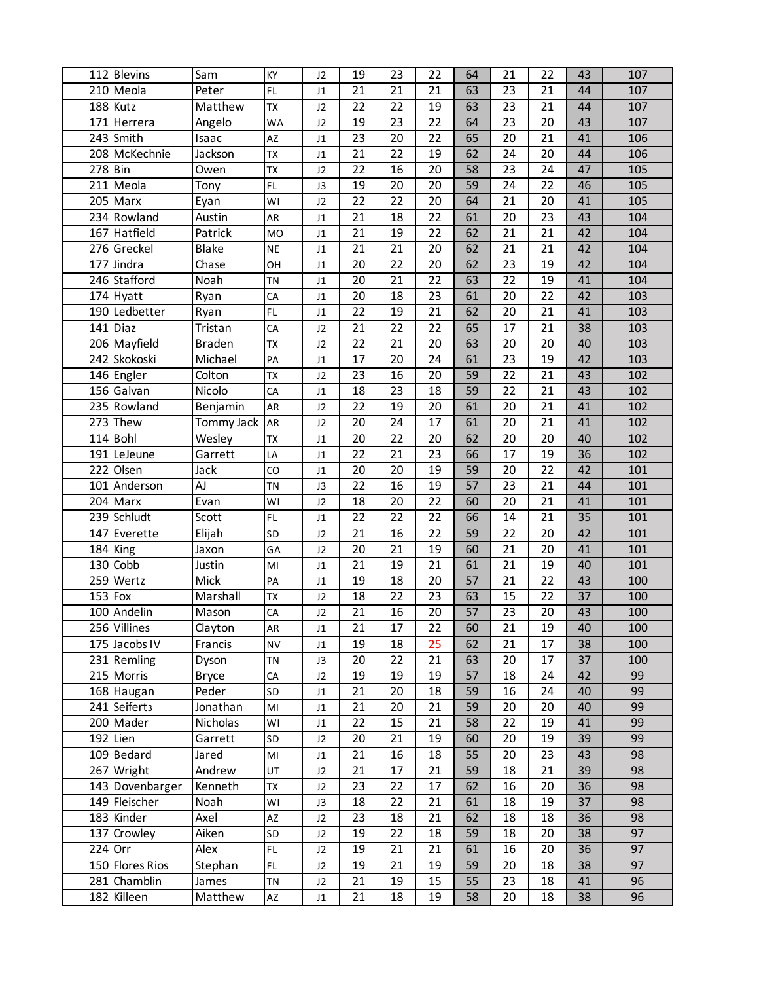|           | 112 Blevins               | Sam           | KY                     | J2                         | 19 | 23 | 22              | 64 | 21              | 22 | 43 | 107 |
|-----------|---------------------------|---------------|------------------------|----------------------------|----|----|-----------------|----|-----------------|----|----|-----|
|           | 210 Meola                 | Peter         | FL                     | J1                         | 21 | 21 | 21              | 63 | 23              | 21 | 44 | 107 |
|           | 188 Kutz                  | Matthew       | <b>TX</b>              | J2                         | 22 | 22 | 19              | 63 | 23              | 21 | 44 | 107 |
|           | 171 Herrera               | Angelo        | <b>WA</b>              | J2                         | 19 | 23 | 22              | 64 | 23              | 20 | 43 | 107 |
|           | 243 Smith                 | Isaac         | AZ                     | $\sf J1$                   | 23 | 20 | 22              | 65 | 20              | 21 | 41 | 106 |
|           | 208 McKechnie             | Jackson       | TX                     | $\sf J1$                   | 21 | 22 | 19              | 62 | 24              | 20 | 44 | 106 |
| 278 Bin   |                           | Owen          | TX                     | J2                         | 22 | 16 | 20              | 58 | 23              | 24 | 47 | 105 |
|           | 211 Meola                 | Tony          | FL                     | J3                         | 19 | 20 | 20              | 59 | 24              | 22 | 46 | 105 |
|           | 205 Marx                  | Eyan          | WI                     | J2                         | 22 | 22 | 20              | 64 | 21              | 20 | 41 | 105 |
|           | 234 Rowland               | Austin        | AR                     | J1                         | 21 | 18 | 22              | 61 | 20              | 23 | 43 | 104 |
|           | 167 Hatfield              | Patrick       | <b>MO</b>              | $\sf J1$                   | 21 | 19 | 22              | 62 | 21              | 21 | 42 | 104 |
|           | 276 Greckel               | <b>Blake</b>  | <b>NE</b>              | $\sf J1$                   | 21 | 21 | 20              | 62 | 21              | 21 | 42 | 104 |
|           | 177 Jindra                | Chase         | OH                     | J1                         | 20 | 22 | 20              | 62 | 23              | 19 | 42 | 104 |
|           | 246 Stafford              | Noah          | <b>TN</b>              | $\sf J1$                   | 20 | 21 | $\overline{22}$ | 63 | 22              | 19 | 41 | 104 |
|           | 174 Hyatt                 | Ryan          | CA                     | $\ensuremath{\mathsf{J1}}$ | 20 | 18 | 23              | 61 | $\overline{20}$ | 22 | 42 | 103 |
|           | 190 Ledbetter             | Ryan          | FL                     | $\ensuremath{\mathsf{J1}}$ | 22 | 19 | 21              | 62 | 20              | 21 | 41 | 103 |
|           | $141$ Diaz                | Tristan       | CA                     | J2                         | 21 | 22 | 22              | 65 | 17              | 21 | 38 | 103 |
|           | 206 Mayfield              | <b>Braden</b> | <b>TX</b>              | J2                         | 22 | 21 | 20              | 63 | 20              | 20 | 40 | 103 |
|           | 242 Skokoski              | Michael       | PA                     | $\sf J1$                   | 17 | 20 | 24              | 61 | 23              | 19 | 42 | 103 |
|           | 146 Engler                | Colton        | <b>TX</b>              | J2                         | 23 | 16 | 20              | 59 | 22              | 21 | 43 | 102 |
|           | 156 Galvan                | Nicolo        | CA                     | $\sf J1$                   | 18 | 23 | 18              | 59 | 22              | 21 | 43 | 102 |
|           | 235 Rowland               | Benjamin      | AR                     | J2                         | 22 | 19 | 20              | 61 | 20              | 21 | 41 | 102 |
|           | 273 Thew                  | Tommy Jack    | AR                     | J2                         | 20 | 24 | 17              | 61 | 20              | 21 | 41 | 102 |
|           | $114$ Bohl                | Wesley        | TX                     | J1                         | 20 | 22 | 20              | 62 | 20              | 20 | 40 | 102 |
|           | 191 LeJeune               | Garrett       | LA                     | $\sf J1$                   | 22 | 21 | 23              | 66 | 17              | 19 | 36 | 102 |
|           | 222 Olsen                 | Jack          | CO                     | J1                         | 20 | 20 | 19              | 59 | 20              | 22 | 42 | 101 |
|           | $\overline{101}$ Anderson | AJ            | <b>TN</b>              | J3                         | 22 | 16 | 19              | 57 | 23              | 21 | 44 | 101 |
|           | 204 Marx                  | Evan          | WI                     | J2                         | 18 | 20 | 22              | 60 | 20              | 21 | 41 | 101 |
|           | 239 Schludt               | Scott         | FL                     | J1                         | 22 | 22 | 22              | 66 | 14              | 21 | 35 | 101 |
|           | 147 Everette              | Elijah        | SD                     | J2                         | 21 | 16 | $\overline{22}$ | 59 | 22              | 20 | 42 | 101 |
|           | 184 King                  | Jaxon         | GA                     | J2                         | 20 | 21 | 19              | 60 | 21              | 20 | 41 | 101 |
|           | 130 Cobb                  | Justin        | $\mathsf{MI}$          | $\ensuremath{\mathsf{J1}}$ | 21 | 19 | 21              | 61 | 21              | 19 | 40 | 101 |
|           | 259 Wertz                 | Mick          | PA                     | $\sf J1$                   | 19 | 18 | 20              | 57 | 21              | 22 | 43 | 100 |
| $153$ Fox |                           | Marshall      | <b>TX</b>              | J2                         | 18 | 22 | 23              | 63 | 15              | 22 | 37 | 100 |
|           | 100 Andelin               | Mason         | CA                     | J2                         | 21 | 16 | 20              | 57 | 23              | 20 | 43 | 100 |
|           | 256 Villines              | Clayton       | AR                     | J1                         | 21 | 17 | 22              | 60 | 21              | 19 | 40 | 100 |
|           | 175 Jacobs IV             | Francis       | <b>NV</b>              | J1                         | 19 | 18 | 25              | 62 | 21              | 17 | 38 | 100 |
|           | 231 Remling               | Dyson         | TN                     | J3                         | 20 | 22 | 21              | 63 | 20              | 17 | 37 | 100 |
|           | 215 Morris                | <b>Bryce</b>  | CA                     | J2                         | 19 | 19 | 19              | 57 | 18              | 24 | 42 | 99  |
|           | 168 Haugan                | Peder         | SD                     | J1                         | 21 | 20 | 18              | 59 | 16              | 24 | 40 | 99  |
|           | 241 Seifert <sub>3</sub>  | Jonathan      | MI                     | J1                         | 21 | 20 | 21              | 59 | 20              | 20 | 40 | 99  |
|           | 200 Mader                 | Nicholas      | WI                     | J1                         | 22 | 15 | 21              | 58 | 22              | 19 | 41 | 99  |
|           | $192$ Lien                | Garrett       | SD                     | J2                         | 20 | 21 | 19              | 60 | 20              | 19 | 39 | 99  |
|           | 109 Bedard                | Jared         | $\mathsf{M}\mathsf{I}$ | J1                         | 21 | 16 | 18              | 55 | 20              | 23 | 43 | 98  |
|           | 267 Wright                | Andrew        | UT                     | J2                         | 21 | 17 | 21              | 59 | 18              | 21 | 39 | 98  |
|           | 143 Dovenbarger           | Kenneth       | TX                     |                            | 23 | 22 | 17              | 62 | 16              | 20 | 36 | 98  |
|           | 149 Fleischer             | Noah          | WI                     | J2<br>J3                   | 18 | 22 | 21              | 61 | 18              | 19 | 37 | 98  |
|           | 183 Kinder                | Axel          |                        |                            | 23 | 18 | 21              | 62 | 18              | 18 | 36 | 98  |
|           | 137 Crowley               | Aiken         | AZ<br>SD               | J2<br>J2                   | 19 | 22 | 18              | 59 | 18              | 20 | 38 | 97  |
| 224 Orr   |                           | Alex          | $\mathsf{FL}$          | J2                         | 19 | 21 | 21              | 61 | 16              | 20 | 36 | 97  |
|           | 150 Flores Rios           | Stephan       | FL                     | J2                         | 19 | 21 | 19              | 59 | 20              | 18 | 38 | 97  |
|           | 281 Chamblin              | James         | <b>TN</b>              | J2                         | 21 | 19 | 15              | 55 | 23              | 18 | 41 | 96  |
|           | 182 Killeen               | Matthew       | AZ                     | J1                         | 21 | 18 | 19              | 58 | 20              | 18 | 38 | 96  |
|           |                           |               |                        |                            |    |    |                 |    |                 |    |    |     |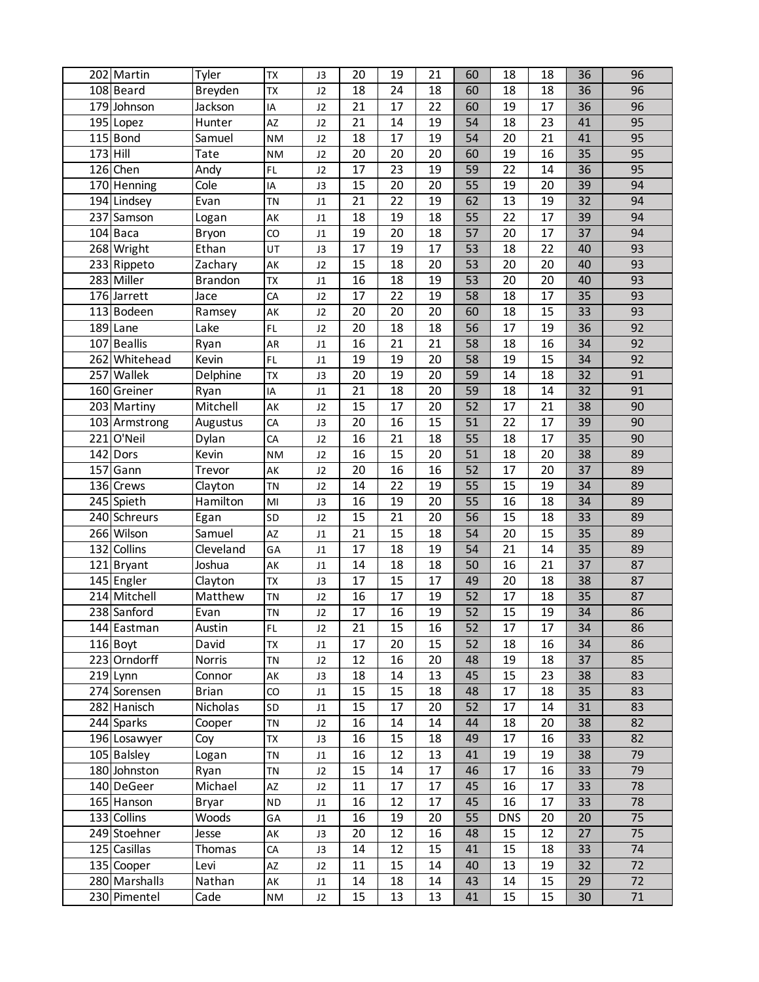|            | 202 Martin                | Tyler          | <b>TX</b>       | J3                         | 20 | 19       | 21 | 60 | 18         | 18       | 36              | 96 |
|------------|---------------------------|----------------|-----------------|----------------------------|----|----------|----|----|------------|----------|-----------------|----|
|            | 108 Beard                 | Breyden        | TX              | J2                         | 18 | 24       | 18 | 60 | 18         | 18       | 36              | 96 |
|            | 179 Johnson               | Jackson        | IA              | J2                         | 21 | 17       | 22 | 60 | 19         | 17       | 36              | 96 |
|            | 195 Lopez                 | Hunter         | AZ              | J2                         | 21 | 14       | 19 | 54 | 18         | 23       | 41              | 95 |
|            | 115 Bond                  | Samuel         | <b>NM</b>       | J2                         | 18 | 17       | 19 | 54 | 20         | 21       | 41              | 95 |
| $173$ Hill |                           | Tate           | <b>NM</b>       | J2                         | 20 | 20       | 20 | 60 | 19         | 16       | 35              | 95 |
|            | $126$ Chen                | Andy           | $\mathsf{FL}$   | J2                         | 17 | 23       | 19 | 59 | 22         | 14       | 36              | 95 |
|            | 170 Henning               | Cole           | IA              | J3                         | 15 | 20       | 20 | 55 | 19         | 20       | 39              | 94 |
|            | 194 Lindsey               | Evan           | <b>TN</b>       | $\sf J1$                   | 21 | 22       | 19 | 62 | 13         | 19       | 32              | 94 |
|            | 237 Samson                |                | AK              |                            | 18 | 19       | 18 | 55 | 22         | 17       | 39              | 94 |
|            | $104$ Baca                | Logan          | $\overline{c}$  | J1                         | 19 | 20       | 18 | 57 | 20         | 17       | 37              | 94 |
|            |                           | Bryon          |                 | $\sf J1$                   |    |          |    |    |            |          |                 |    |
|            | 268 Wright                | Ethan          | UT              | J3                         | 17 | 19       | 17 | 53 | 18         | 22       | 40              | 93 |
|            | 233 Rippeto               | Zachary        | AK              | J2                         | 15 | 18       | 20 | 53 | 20         | 20       | 40              | 93 |
|            | 283 Miller                | <b>Brandon</b> | TX              | $\sf J1$                   | 16 | 18       | 19 | 53 | 20         | 20       | 40              | 93 |
|            | 176 Jarrett               | Jace           | CA              | J2                         | 17 | 22       | 19 | 58 | 18         | 17       | 35              | 93 |
|            | 113 Bodeen                | Ramsey         | AK              | J2                         | 20 | 20       | 20 | 60 | 18         | 15       | 33              | 93 |
|            | 189 Lane                  | Lake           | $\mathsf{FL}$   | J2                         | 20 | 18       | 18 | 56 | 17         | 19       | 36              | 92 |
|            | 107 Beallis               | Ryan           | AR              | J1                         | 16 | 21       | 21 | 58 | 18         | 16       | 34              | 92 |
|            | 262 Whitehead             | Kevin          | FL              | $\sf J1$                   | 19 | 19       | 20 | 58 | 19         | 15       | 34              | 92 |
|            | 257 Wallek                | Delphine       | <b>TX</b>       | J3                         | 20 | 19       | 20 | 59 | 14         | 18       | 32              | 91 |
|            | 160 Greiner               | Ryan           | IA              | $\sf J1$                   | 21 | 18       | 20 | 59 | 18         | 14       | $\overline{32}$ | 91 |
|            | 203 Martiny               | Mitchell       | AK              | J2                         | 15 | 17       | 20 | 52 | 17         | 21       | 38              | 90 |
|            | 103 Armstrong             | Augustus       | CA              | J3                         | 20 | 16       | 15 | 51 | 22         | 17       | 39              | 90 |
|            | $221$ O'Neil              | Dylan          | CA              | J2                         | 16 | 21       | 18 | 55 | 18         | 17       | 35              | 90 |
|            | $142$ Dors                | Kevin          | <b>NM</b>       | J2                         | 16 | 15       | 20 | 51 | 18         | 20       | 38              | 89 |
|            | $157$ Gann                | Trevor         | AK              | J2                         | 20 | 16       | 16 | 52 | 17         | 20       | 37              | 89 |
|            | 136 Crews                 | Clayton        | <b>TN</b>       | J2                         | 14 | 22       | 19 | 55 | 15         | 19       | 34              | 89 |
|            | 245 Spieth                | Hamilton       | M <sub>l</sub>  | J3                         | 16 | 19       | 20 | 55 | 16         | 18       | 34              | 89 |
|            | 240 Schreurs              | Egan           | SD              | J2                         | 15 | 21       | 20 | 56 | 15         | 18       | 33              | 89 |
|            | 266 Wilson                | Samuel         | AZ              | J1                         | 21 | 15       | 18 | 54 | 20         | 15       | 35              | 89 |
|            | 132 Collins               | Cleveland      | GA              | $\sf J1$                   | 17 | 18       | 19 | 54 | 21         | 14       | 35              | 89 |
|            | 121 Bryant                | Joshua         | AK              | $\ensuremath{\mathsf{J1}}$ | 14 | 18       | 18 | 50 | 16         | 21       | 37              | 87 |
|            | 145 Engler                | Clayton        | TX              | J3                         | 17 | 15       | 17 | 49 | 20         | 18       | 38              | 87 |
|            | 214 Mitchell              | Matthew        | <b>TN</b>       | J2                         | 16 | 17       | 19 | 52 | 17         | 18       | 35              | 87 |
|            | 238 Sanford               | Evan           | <b>TN</b>       | J2                         | 17 | 16       | 19 | 52 | 15         | 19       | 34              | 86 |
|            | 144 Eastman               | Austin         | FL              | J2                         | 21 | 15       | 16 | 52 | 17         | 17       | 34              | 86 |
|            | 116 Boyt                  | David          | <b>TX</b>       | J1                         | 17 | 20       | 15 | 52 | 18         | 16       | 34              | 86 |
|            | 223 Orndorff              | Norris         | TN              | J2                         | 12 | 16       | 20 | 48 | 19         | 18       | 37              | 85 |
|            | $219$ Lynn                | Connor         | AK              | J3                         | 18 | 14       | 13 | 45 | 15         | 23       | 38              | 83 |
|            | 274 Sorensen              | <b>Brian</b>   | CO              | J1                         | 15 | 15       | 18 | 48 | 17         | 18       | 35              | 83 |
|            | 282 Hanisch               | Nicholas       | SD              | J1                         | 15 | 17       | 20 | 52 | 17         | 14       | 31              | 83 |
|            | 244 Sparks                | Cooper         | TN              | J2                         | 16 | 14       | 14 | 44 | 18         | 20       | 38              | 82 |
|            | 196 Losawyer              | Coy            | <b>TX</b>       | J3                         | 16 | 15       | 18 | 49 | 17         | 16       | 33              | 82 |
|            | 105 Balsley               | Logan          | TN              | J1                         | 16 | 12       | 13 | 41 | 19         | 19       | 38              | 79 |
|            |                           |                |                 |                            | 15 |          |    |    |            |          |                 |    |
|            | 180 Johnston              | Ryan           | <b>TN</b><br>AZ | J2                         | 11 | 14<br>17 | 17 | 46 | 17         | 16<br>17 | 33              | 79 |
|            | 140 DeGeer                | Michael        |                 | J2                         |    |          | 17 | 45 | 16         | 17       | 33              | 78 |
|            | 165 Hanson                | <b>Bryar</b>   | $\sf ND$        | $\ensuremath{\mathsf{J1}}$ | 16 | 12       | 17 | 45 | 16         |          | 33              | 78 |
|            | 133 Collins               | Woods          | GA              | J1                         | 16 | 19       | 20 | 55 | <b>DNS</b> | 20       | 20              | 75 |
|            | 249 Stoehner              | Jesse          | AK              | J3                         | 20 | 12       | 16 | 48 | 15         | 12       | 27              | 75 |
|            | 125 Casillas              | Thomas         | CA              | J3                         | 14 | 12       | 15 | 41 | 15         | 18       | 33              | 74 |
|            | 135 Cooper                | Levi           | AZ              | J2                         | 11 | 15       | 14 | 40 | 13         | 19       | 32              | 72 |
|            | 280 Marshall <sub>3</sub> | Nathan         | AK              | J1                         | 14 | 18       | 14 | 43 | 14         | 15       | 29              | 72 |
|            | 230 Pimentel              | Cade           | NM              | J2                         | 15 | 13       | 13 | 41 | 15         | 15       | 30              | 71 |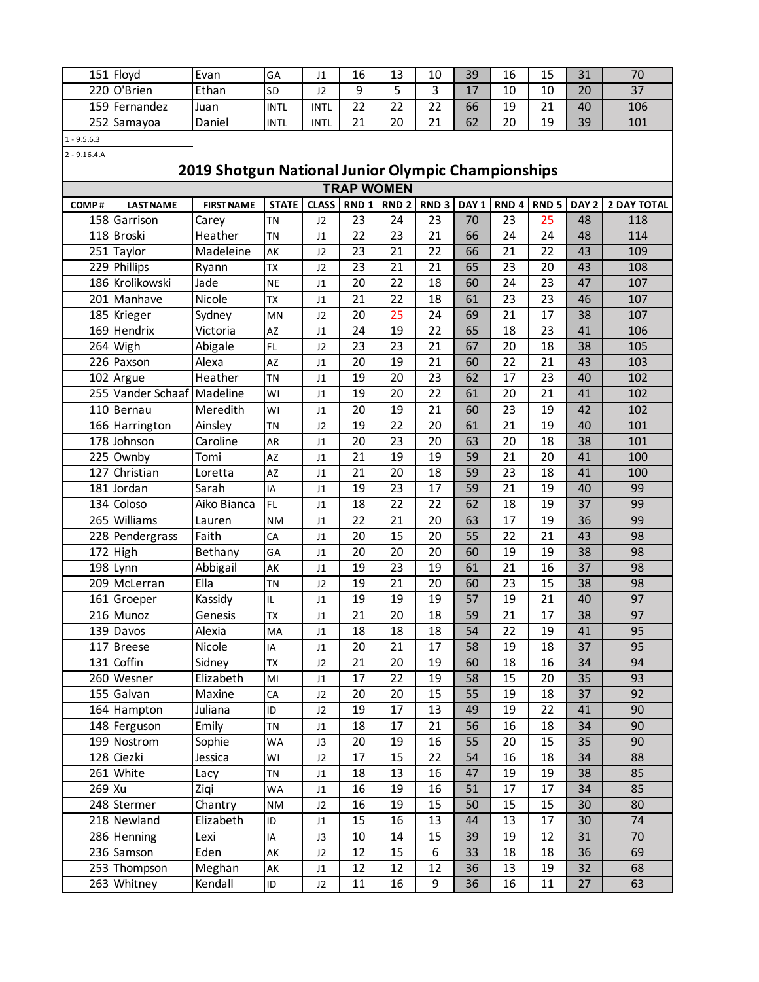| 151 Floyd     | Evan   | GA          | ┚┹   | 16       | $\sim$<br>-- | 10           | 39            | $\sim$<br>16 | $\sim$<br>ن به     | $\mathbf{A}$<br>⊥ ب | $\overline{\phantom{a}}$ |
|---------------|--------|-------------|------|----------|--------------|--------------|---------------|--------------|--------------------|---------------------|--------------------------|
| 220 O'Brien   | Ethan  | <b>SD</b>   | JZ   |          |              | ັ            | $\sim$<br>- 7 | 10           | 10                 | 20                  | 27<br>ر د                |
| 159 Fernandez | Juan   | <b>INTL</b> | INTL | ີ<br>ے   | $\sim$<br>∠∠ | $\sim$<br>∠∠ | 66            | 19           | $\mathbf{A}$<br>ᅀᅩ | 40                  | 106                      |
| 252 Samayoa   | Daniel | <b>INTL</b> | INTL | ำ 1<br>ᅀ | 20           | $\sim$<br>ᅀᅩ | 62            | 20           | 19                 | 39                  | 101                      |

1 - 9.5.6.3 2 - 9.16.4.A

## **2019 Shotgun National Junior Olympic Championships**

|        | <b>TRAP WOMEN</b>       |                   |                 |                |                 |    |                 |                  |                  |                  |                  |                    |  |
|--------|-------------------------|-------------------|-----------------|----------------|-----------------|----|-----------------|------------------|------------------|------------------|------------------|--------------------|--|
| COMP#  | <b>LAST NAME</b>        | <b>FIRST NAME</b> | <b>STATE</b>    | <b>CLASS</b>   | RND 1           |    | RND 2 RND 3     | DAY <sub>1</sub> | RND <sub>4</sub> | RND <sub>5</sub> | DAY <sub>2</sub> | <b>2 DAY TOTAL</b> |  |
|        | 158 Garrison            | Carey             | <b>TN</b>       | J2             | 23              | 24 | 23              | 70               | 23               | 25               | 48               | 118                |  |
|        | 118 Broski              | Heather           | <b>TN</b>       | J1             | 22              | 23 | $\overline{21}$ | 66               | 24               | 24               | 48               | 114                |  |
|        | 251 Taylor              | Madeleine         | AK              | J2             | 23              | 21 | 22              | 66               | 21               | 22               | 43               | 109                |  |
|        | 229 Phillips            | Ryann             | TX              | J2             | 23              | 21 | 21              | 65               | 23               | 20               | 43               | 108                |  |
|        | 186 Krolikowski         | Jade              | <b>NE</b>       | J1             | 20              | 22 | 18              | 60               | 24               | 23               | 47               | 107                |  |
|        | 201 Manhave             | <b>Nicole</b>     | <b>TX</b>       | J1             | 21              | 22 | 18              | 61               | 23               | 23               | 46               | 107                |  |
|        | 185 Krieger             | Sydney            | <b>MN</b>       | J2             | 20              | 25 | 24              | 69               | 21               | 17               | 38               | 107                |  |
|        | 169 Hendrix             | Victoria          | AZ              | J1             | 24              | 19 | 22              | 65               | 18               | 23               | 41               | 106                |  |
|        | 264 Wigh                | Abigale           | F               | J2             | 23              | 23 | $\overline{21}$ | 67               | 20               | 18               | 38               | 105                |  |
|        | $\overline{226}$ Paxson | Alexa             | AZ              | J1             | 20              | 19 | $\overline{21}$ | 60               | 22               | 21               | 43               | 103                |  |
|        | 102 Argue               | Heather           | <b>TN</b>       | J1             | 19              | 20 | 23              | 62               | 17               | 23               | 40               | 102                |  |
|        | 255 Vander Schaaf       | Madeline          | WI              | J1             | 19              | 20 | 22              | 61               | 20               | 21               | 41               | 102                |  |
|        | 110 Bernau              | Meredith          | WI              | J1             | 20              | 19 | 21              | 60               | 23               | 19               | 42               | 102                |  |
|        | 166 Harrington          | Ainsley           | <b>TN</b>       | J2             | 19              | 22 | 20              | 61               | 21               | 19               | 40               | 101                |  |
|        | 178 Johnson             | Caroline          | AR              | J1             | 20              | 23 | 20              | 63               | 20               | 18               | 38               | 101                |  |
|        | 225 Ownby               | Tomi              | $\overline{AZ}$ | J1             | 21              | 19 | 19              | 59               | 21               | 20               | 41               | 100                |  |
|        | 127 Christian           | Loretta           | $\overline{AZ}$ | J1             | 21              | 20 | 18              | 59               | 23               | 18               | 41               | 100                |  |
| 181    | Jordan                  | Sarah             | IA              | J <sub>1</sub> | 19              | 23 | 17              | 59               | 21               | 19               | 40               | 99                 |  |
|        | 134 Coloso              | Aiko Bianca       | FL              | J1             | 18              | 22 | 22              | 62               | 18               | 19               | 37               | 99                 |  |
|        | 265 Williams            | Lauren            | <b>NM</b>       | J1             | 22              | 21 | 20              | 63               | 17               | 19               | 36               | 99                 |  |
|        | 228 Pendergrass         | Faith             | CA              | J1             | 20              | 15 | 20              | 55               | 22               | 21               | 43               | 98                 |  |
|        | $172$ High              | Bethany           | GA              | J1             | 20              | 20 | 20              | 60               | 19               | 19               | 38               | 98                 |  |
|        | $198$ Lynn              | Abbigail          | AK              | J1             | 19              | 23 | 19              | 61               | 21               | 16               | 37               | 98                 |  |
|        | 209 McLerran            | Ella              | <b>TN</b>       | J2             | 19              | 21 | 20              | 60               | 23               | 15               | 38               | 98                 |  |
|        | 161 Groeper             | Kassidy           | IL              | J1             | 19              | 19 | 19              | 57               | 19               | 21               | 40               | 97                 |  |
|        | 216 Munoz               | Genesis           | <b>TX</b>       | J1             | 21              | 20 | 18              | 59               | 21               | 17               | 38               | 97                 |  |
|        | 139 Davos               | Alexia            | MA              | J1             | 18              | 18 | 18              | 54               | 22               | 19               | 41               | 95                 |  |
|        | 117 Breese              | Nicole            | IA              | J1             | 20              | 21 | 17              | 58               | 19               | 18               | 37               | 95                 |  |
|        | 131 Coffin              | Sidney            | <b>TX</b>       | J2             | 21              | 20 | 19              | 60               | 18               | 16               | 34               | 94                 |  |
|        | 260 Wesner              | Elizabeth         | MI              | J1             | 17              | 22 | 19              | 58               | 15               | 20               | 35               | 93                 |  |
|        | 155 Galvan              | Maxine            | CA              | J2             | 20              | 20 | 15              | 55               | 19               | 18               | 37               | 92                 |  |
|        | 164 Hampton             | Juliana           | ID              | J2             | 19              | 17 | 13              | 49               | 19               | 22               | 41               | 90                 |  |
|        | 148 Ferguson            | Emily             | <b>TN</b>       | J1             | 18              | 17 | $\overline{21}$ | 56               | 16               | 18               | 34               | 90                 |  |
|        | 199 Nostrom             | Sophie            | WA              | J3             | $\overline{20}$ | 19 | 16              | $\overline{55}$  | $\overline{20}$  | 15               | $\overline{35}$  | 90                 |  |
|        | 128 Ciezki              | Jessica           | WI              | J2             | 17              | 15 | 22              | 54               | 16               | 18               | 34               | 88                 |  |
|        | 261 White               | Lacy              | TN              | J1             | 18              | 13 | 16              | 47               | 19               | 19               | 38               | 85                 |  |
| 269 Xu |                         | Ziqi              | WA              | J1             | 16              | 19 | 16              | 51               | 17               | 17               | 34               | 85                 |  |
|        | 248 Stermer             | Chantry           | <b>NM</b>       | J2             | 16              | 19 | 15              | 50               | 15               | 15               | 30               | 80                 |  |
|        | 218 Newland             | Elizabeth         | $\sf ID$        | J1             | 15              | 16 | 13              | 44               | 13               | 17               | 30               | 74                 |  |
|        | 286 Henning             | Lexi              | IA              | J3             | 10              | 14 | 15              | 39               | 19               | 12               | 31               | 70                 |  |
|        | 236 Samson              | Eden              | AK              | J2             | 12              | 15 | 6               | 33               | 18               | 18               | 36               | 69                 |  |
|        | 253 Thompson            | Meghan            | AK              | J1             | 12              | 12 | 12              | 36               | 13               | 19               | 32               | 68                 |  |
|        | 263 Whitney             | Kendall           | ID              | J2             | $11\,$          | 16 | 9               | 36               | 16               | $11\,$           | 27               | 63                 |  |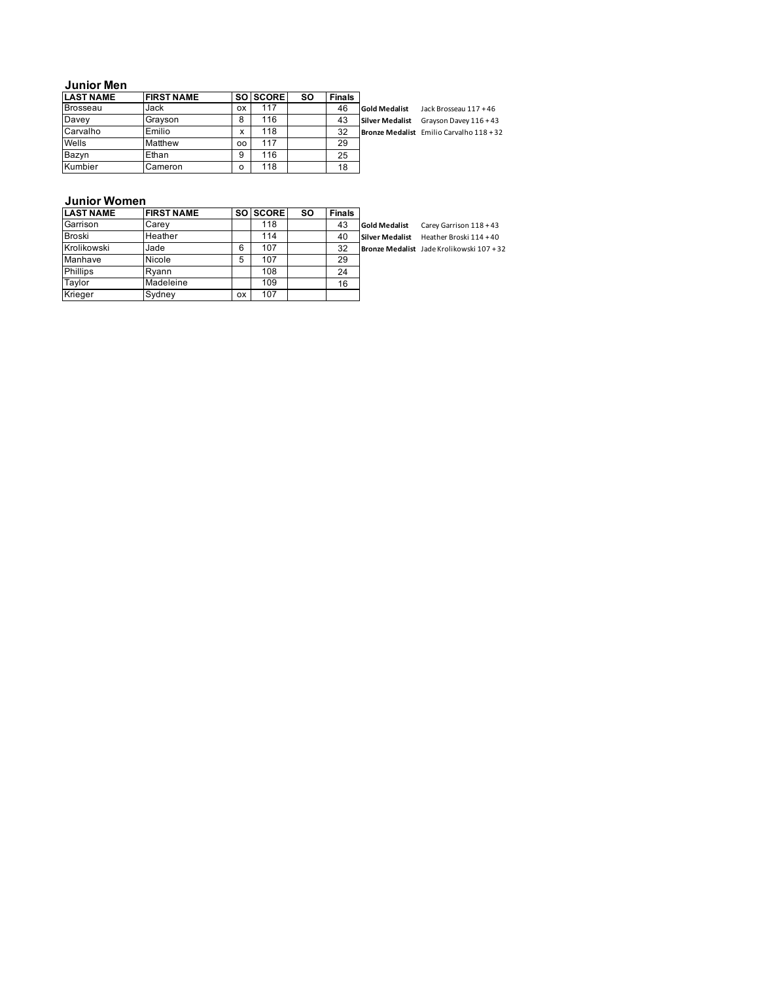### **Junior Men**

| <b>LAST NAME</b> | <b>FIRST NAME</b> |           | SO SCORE | <b>SO</b> | <b>Finals</b> |                        |                                          |
|------------------|-------------------|-----------|----------|-----------|---------------|------------------------|------------------------------------------|
| <b>Brosseau</b>  | Jack              | <b>OX</b> | 117      |           | 46            | <b>Gold Medalist</b>   | Jack Brosseau 117 + 46                   |
| Davey            | Gravson           | 8         | 116      |           | 43            | <b>Silver Medalist</b> | Gravson Davey 116 + 43                   |
| Carvalho         | Emilio            | x         | 118      |           | 32            |                        | Bronze Medalist Emilio Carvalho 118 + 32 |
| Wells            | Matthew           | OO        | 117      |           | 29            |                        |                                          |
| Bazvn            | Ethan             | 9         | 116      |           | 25            |                        |                                          |
| Kumbier          | Cameron           | o         | 118      |           | 18            |                        |                                          |

### **Junior Women**

| <b>LAST NAME</b> | <b>FIRST NAME</b> |           | SO SCORE | <b>SO</b> | <b>Finals</b> |                        |                                           |
|------------------|-------------------|-----------|----------|-----------|---------------|------------------------|-------------------------------------------|
| Garrison         | Carey             |           | 118      |           | 43            | <b>Gold Medalist</b>   | Carey Garrison 118 + 43                   |
| <b>Broski</b>    | Heather           |           | 114      |           | 40            | <b>Silver Medalist</b> | Heather Broski 114+40                     |
| Krolikowski      | Jade              | 6         | 107      |           | 32            |                        | Bronze Medalist Jade Krolikowski 107 + 32 |
| Manhave          | Nicole            | 5         | 107      |           | 29            |                        |                                           |
| <b>Phillips</b>  | Rvann             |           | 108      |           | 24            |                        |                                           |
| Taylor           | Madeleine         |           | 109      |           | 16            |                        |                                           |
| Krieger          | Sydney            | <b>OX</b> | 107      |           |               |                        |                                           |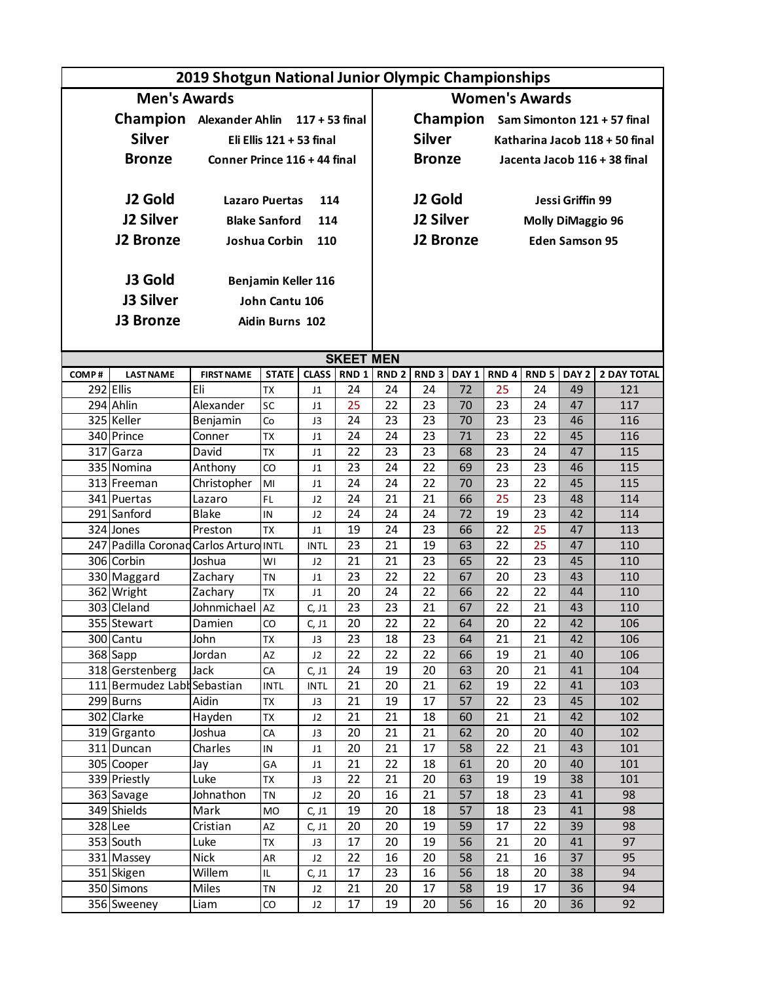|       | 2019 Shotgun National Junior Olympic Championships |                              |                            |                            |                  |                       |                  |                  |                              |                          |                       |                                      |  |
|-------|----------------------------------------------------|------------------------------|----------------------------|----------------------------|------------------|-----------------------|------------------|------------------|------------------------------|--------------------------|-----------------------|--------------------------------------|--|
|       | <b>Men's Awards</b>                                |                              |                            |                            |                  | <b>Women's Awards</b> |                  |                  |                              |                          |                       |                                      |  |
|       | Champion Alexander Ahlin 117 + 53 final            |                              |                            |                            |                  |                       |                  |                  |                              |                          |                       | Champion Sam Simonton 121 + 57 final |  |
|       |                                                    |                              |                            |                            |                  |                       |                  |                  |                              |                          |                       |                                      |  |
|       | <b>Silver</b>                                      |                              | Eli Ellis $121 + 53$ final |                            |                  |                       | <b>Silver</b>    |                  |                              |                          |                       | Katharina Jacob 118 + 50 final       |  |
|       | <b>Bronze</b>                                      | Conner Prince 116 + 44 final |                            |                            |                  |                       | <b>Bronze</b>    |                  | Jacenta Jacob 116 + 38 final |                          |                       |                                      |  |
|       |                                                    |                              |                            |                            |                  |                       |                  |                  |                              |                          |                       |                                      |  |
|       | J2 Gold                                            | <b>Lazaro Puertas</b>        |                            | 114                        |                  |                       | J2 Gold          |                  | Jessi Griffin 99             |                          |                       |                                      |  |
|       | <b>J2 Silver</b>                                   |                              | <b>Blake Sanford</b>       | 114                        |                  |                       | <b>J2 Silver</b> |                  |                              | <b>Molly DiMaggio 96</b> |                       |                                      |  |
|       | <b>J2 Bronze</b>                                   |                              | Joshua Corbin              |                            |                  |                       | <b>J2 Bronze</b> |                  |                              |                          |                       |                                      |  |
|       |                                                    |                              |                            | 110                        |                  |                       |                  |                  |                              |                          | <b>Eden Samson 95</b> |                                      |  |
|       |                                                    |                              |                            |                            |                  |                       |                  |                  |                              |                          |                       |                                      |  |
|       | J3 Gold                                            |                              | Benjamin Keller 116        |                            |                  |                       |                  |                  |                              |                          |                       |                                      |  |
|       | J3 Silver                                          |                              | John Cantu 106             |                            |                  |                       |                  |                  |                              |                          |                       |                                      |  |
|       | <b>J3 Bronze</b>                                   |                              | Aidin Burns 102            |                            |                  |                       |                  |                  |                              |                          |                       |                                      |  |
|       |                                                    |                              |                            |                            |                  |                       |                  |                  |                              |                          |                       |                                      |  |
|       |                                                    |                              |                            |                            | <b>SKEET MEN</b> |                       |                  |                  |                              |                          |                       |                                      |  |
| COMP# | <b>LAST NAME</b>                                   | <b>FIRST NAME</b>            | <b>STATE</b>               | <b>CLASS</b>               | RND <sub>1</sub> | RND <sub>2</sub>      | RND <sub>3</sub> | DAY <sub>1</sub> | RND <sub>4</sub>             | RND <sub>5</sub>         | DAY <sub>2</sub>      | <b>2 DAY TOTAL</b>                   |  |
|       | 292 Ellis                                          | Eli                          | <b>TX</b>                  | J1                         | 24               | 24                    | 24               | 72               | 25                           | 24                       | 49                    | 121                                  |  |
|       | 294 Ahlin                                          | Alexander                    | SC                         | J <sub>1</sub>             | 25               | 22                    | 23               | 70               | 23                           | 24                       | 47                    | 117                                  |  |
|       | 325 Keller                                         | Benjamin                     | Co                         | J3                         | 24               | 23                    | 23               | 70               | 23                           | 23                       | 46                    | 116                                  |  |
|       | 340 Prince                                         | Conner                       | <b>TX</b>                  | J <sub>1</sub>             | 24               | 24                    | 23               | 71               | 23                           | 22                       | 45                    | 116                                  |  |
|       | 317 Garza                                          | David                        | <b>TX</b>                  | J <sub>1</sub>             | 22               | 23                    | 23               | 68               | 23                           | 24                       | 47                    | 115                                  |  |
|       | 335 Nomina                                         | Anthony                      | CO                         | J <sub>1</sub>             | 23               | 24                    | $\overline{22}$  | 69               | $\overline{23}$              | 23                       | 46                    | 115                                  |  |
|       | 313 Freeman                                        | Christopher                  | MI                         | J <sub>1</sub>             | 24               | 24                    | 22               | 70               | 23                           | 22                       | 45                    | 115                                  |  |
|       | 341 Puertas                                        | Lazaro                       | FL                         | J2                         | 24               | 21                    | 21               | 66               | 25                           | 23                       | 48                    | 114                                  |  |
|       | 291 Sanford                                        | <b>Blake</b>                 | IN                         | J2                         | 24               | 24                    | 24               | 72               | 19                           | 23                       | 42                    | 114                                  |  |
|       | 324 Jones                                          | Preston                      | <b>TX</b>                  | J <sub>1</sub>             | 19               | 24                    | 23               | 66               | $\overline{22}$              | 25                       | 47                    | 113                                  |  |
|       | 247 Padilla Coronad Carlos Arturo INTL             |                              |                            | <b>INTL</b>                | 23               | 21                    | 19               | 63               | 22                           | 25                       | 47                    | 110                                  |  |
|       | 306 Corbin                                         | Joshua                       | WI                         | J <sub>2</sub>             | 21               | 21                    | 23               | 65               | 22                           | 23                       | 45                    | 110                                  |  |
|       | 330 Maggard                                        | Zachary                      | <b>TN</b>                  | J <sub>1</sub>             | 23               | 22                    | 22               | 67               | 20                           | 23                       | 43                    | 110                                  |  |
|       | 362 Wright<br>303 Cleland                          | Zachary<br>Johnmichael       | <b>TX</b><br><b>AZ</b>     | J <sub>1</sub>             | 20<br>23         | 24<br>23              | 22<br>21         | 66<br>67         | 22<br>22                     | 22<br>21                 | 44<br>43              | 110<br>110                           |  |
|       |                                                    | Damien                       | CO                         | C, J1                      | 20               | 22                    | 22               | 64               | 20                           | 22                       | 42                    | 106                                  |  |
|       | 355 Stewart<br>300 Cantu                           | John                         | TX                         | C, J1<br>J3                | 23               | 18                    | 23               | 64               | 21                           | 21                       | 42                    | 106                                  |  |
|       | $368$ Sapp                                         | Jordan                       | AZ                         | J2                         | 22               | 22                    | 22               | 66               | 19                           | 21                       | 40                    | 106                                  |  |
|       | 318 Gerstenberg                                    | Jack                         | CA                         | C, J1                      | 24               | 19                    | 20               | 63               | 20                           | 21                       | 41                    | 104                                  |  |
|       | 111 Bermudez Labl Sebastian                        |                              | <b>INTL</b>                | <b>INTL</b>                | 21               | 20                    | 21               | 62               | 19                           | 22                       | 41                    | 103                                  |  |
|       | 299 Burns                                          | Aidin                        | TX                         | J3                         | 21               | 19                    | 17               | 57               | 22                           | 23                       | 45                    | 102                                  |  |
|       | 302 Clarke                                         | Hayden                       | <b>TX</b>                  | J2                         | 21               | 21                    | 18               | 60               | 21                           | 21                       | 42                    | 102                                  |  |
|       | 319 Grganto                                        | Joshua                       | CA                         | J3                         | 20               | 21                    | 21               | 62               | 20                           | 20                       | 40                    | 102                                  |  |
|       | 311 Duncan                                         | Charles                      | IN                         | $\ensuremath{\mathsf{J1}}$ | 20               | 21                    | 17               | 58               | 22                           | 21                       | 43                    | 101                                  |  |
|       | 305 Cooper                                         | Jay                          | GA                         | J <sub>1</sub>             | 21               | 22                    | 18               | 61               | 20                           | 20                       | 40                    | 101                                  |  |
|       | 339 Priestly                                       | Luke                         | TX                         | J3                         | 22               | 21                    | 20               | 63               | 19                           | 19                       | 38                    | 101                                  |  |
|       | 363 Savage                                         | Johnathon                    | <b>TN</b>                  | J2                         | 20               | 16                    | 21               | 57               | 18                           | 23                       | 41                    | 98                                   |  |
|       | 349 Shields                                        | Mark                         | MO                         | C, J1                      | 19               | 20                    | 18               | 57               | 18                           | 23                       | 41                    | 98                                   |  |
|       | 328 Lee                                            | Cristian                     | AZ                         | C, J1                      | 20               | 20                    | 19               | 59               | 17                           | 22                       | 39                    | 98                                   |  |
|       | 353 South                                          | Luke                         | TX                         | $\mathsf{J3}\,$            | 17               | 20                    | 19               | 56               | 21                           | 20                       | 41                    | 97                                   |  |
|       | 331 Massey                                         | <b>Nick</b>                  | AR                         | J2                         | 22               | 16                    | 20               | 58               | 21                           | 16                       | 37                    | 95                                   |  |
|       | 351 Skigen<br>350 Simons                           | Willem<br>Miles              | IL.                        | C, J1                      | 17               | 23<br>20              | 16<br>17         | 56               | 18<br>19                     | 20<br>17                 | 38                    | 94                                   |  |
|       | 356 Sweeney                                        | Liam                         | TN<br>$\rm CO$             | J2<br>J2                   | 21<br>17         | 19                    | 20               | 58<br>56         | 16                           | 20                       | 36<br>36              | 94<br>92                             |  |
|       |                                                    |                              |                            |                            |                  |                       |                  |                  |                              |                          |                       |                                      |  |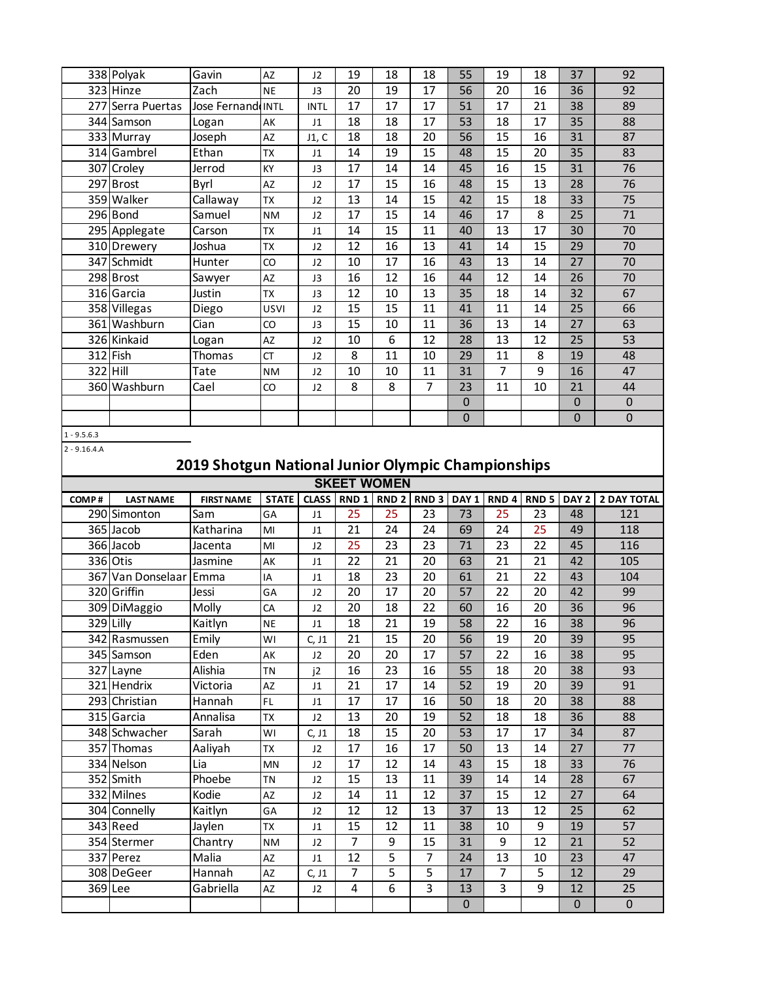|          | 338 Polyak        | Gavin             | AZ          | J2             | 19 | 18 | 18 | 55          | 19 | 18 | 37 | 92          |
|----------|-------------------|-------------------|-------------|----------------|----|----|----|-------------|----|----|----|-------------|
|          | 323 Hinze         | Zach              | <b>NE</b>   | J3             | 20 | 19 | 17 | 56          | 20 | 16 | 36 | 92          |
|          | 277 Serra Puertas | Jose Fernand INTL |             | <b>INTL</b>    | 17 | 17 | 17 | 51          | 17 | 21 | 38 | 89          |
|          | 344 Samson        | Logan             | AK          | J <sub>1</sub> | 18 | 18 | 17 | 53          | 18 | 17 | 35 | 88          |
|          | 333 Murray        | Joseph            | AZ          | J1, C          | 18 | 18 | 20 | 56          | 15 | 16 | 31 | 87          |
|          | 314 Gambrel       | Ethan             | <b>TX</b>   | J <sub>1</sub> | 14 | 19 | 15 | 48          | 15 | 20 | 35 | 83          |
|          | 307 Croley        | Jerrod            | KY          | J3             | 17 | 14 | 14 | 45          | 16 | 15 | 31 | 76          |
|          | 297 Brost         | Byrl              | AZ          | J2             | 17 | 15 | 16 | 48          | 15 | 13 | 28 | 76          |
|          | 359 Walker        | Callaway          | <b>TX</b>   | J2             | 13 | 14 | 15 | 42          | 15 | 18 | 33 | 75          |
|          | 296 Bond          | Samuel            | <b>NM</b>   | J2             | 17 | 15 | 14 | 46          | 17 | 8  | 25 | 71          |
|          | 295 Applegate     | Carson            | <b>TX</b>   | J1             | 14 | 15 | 11 | 40          | 13 | 17 | 30 | 70          |
|          | 310 Drewery       | Joshua            | <b>TX</b>   | J2             | 12 | 16 | 13 | 41          | 14 | 15 | 29 | 70          |
|          | 347 Schmidt       | Hunter            | CO          | J2             | 10 | 17 | 16 | 43          | 13 | 14 | 27 | 70          |
|          | 298 Brost         | Sawyer            | AZ          | J3             | 16 | 12 | 16 | 44          | 12 | 14 | 26 | 70          |
|          | 316 Garcia        | Justin            | <b>TX</b>   | J3             | 12 | 10 | 13 | 35          | 18 | 14 | 32 | 67          |
|          | 358 Villegas      | Diego             | <b>USVI</b> | J2             | 15 | 15 | 11 | 41          | 11 | 14 | 25 | 66          |
|          | 361 Washburn      | Cian              | CO          | J3             | 15 | 10 | 11 | 36          | 13 | 14 | 27 | 63          |
|          | 326 Kinkaid       | Logan             | AZ          | J2             | 10 | 6  | 12 | 28          | 13 | 12 | 25 | 53          |
|          | $312$ Fish        | Thomas            | <b>CT</b>   | J <sub>2</sub> | 8  | 11 | 10 | 29          | 11 | 8  | 19 | 48          |
| 322 Hill |                   | Tate              | <b>NM</b>   | J2             | 10 | 10 | 11 | 31          | 7  | 9  | 16 | 47          |
|          | 360 Washburn      | Cael              | CO          | J2             | 8  | 8  | 7  | 23          | 11 | 10 | 21 | 44          |
|          |                   |                   |             |                |    |    |    | $\mathbf 0$ |    |    | 0  | $\mathbf 0$ |
|          |                   |                   |             |                |    |    |    | $\pmb{0}$   |    |    | 0  | $\mathbf 0$ |

1 - 9.5.6.3

2 - 9.16.4.A

# **2019 Shotgun National Junior Olympic Championships**

| <b>CLASS</b><br>RND <sub>1</sub><br><b>RND 2 RND 3</b><br>DAY <sub>1</sub><br>RND <sub>4</sub><br>RND <sub>5</sub><br>DAY 2<br><b>STATE</b><br>COMP#<br><b>LAST NAME</b><br><b>FIRST NAME</b><br>290 Simonton<br>25<br>25<br>23<br>73<br>25<br>23<br>Sam<br>GA<br>48<br>J <sub>1</sub><br>$\overline{25}$<br>Katharina<br>21<br>24<br>24<br>69<br>24<br>365 Jacob<br>49<br>MI<br>J <sub>1</sub><br>366 Jacob<br>25<br>23<br>23<br>23<br>22<br>71<br>45<br>MI<br>J2<br>Jacenta<br>21<br>20<br>21<br>21<br>336 Otis<br>22<br>63<br>42<br>Jasmine<br>AK<br>J <sub>1</sub><br>23<br>21<br>22<br>18<br>20<br>367 Van Donselaar Emma<br>61<br>43<br>IA<br>J <sub>1</sub><br>320 Griffin<br>17<br>20<br>22<br>20<br>57<br>20<br>42<br>Jessi<br>GA<br>J2<br>$\overline{22}$<br>18<br>16<br>20<br>36<br>309 DiMaggio<br>Molly<br>20<br>60<br>CA<br>J2<br>22<br>329 Lilly<br>21<br>19<br>38<br>Kaitlyn<br>18<br>58<br>16<br><b>NE</b><br>J <sub>1</sub><br>15<br>342 Rasmussen<br>Emily<br>21<br>20<br>19<br>20<br>56<br>39<br>WI<br>C, J1<br>Eden<br>20<br>17<br>22<br>345 Samson<br>20<br>57<br>16<br>38<br>AK<br>J <sub>2</sub> | <b>SKEET WOMEN</b> |  |  |  |  |  |  |  |  |  |  |  |  |  |
|--------------------------------------------------------------------------------------------------------------------------------------------------------------------------------------------------------------------------------------------------------------------------------------------------------------------------------------------------------------------------------------------------------------------------------------------------------------------------------------------------------------------------------------------------------------------------------------------------------------------------------------------------------------------------------------------------------------------------------------------------------------------------------------------------------------------------------------------------------------------------------------------------------------------------------------------------------------------------------------------------------------------------------------------------------------------------------------------------------------------------|--------------------|--|--|--|--|--|--|--|--|--|--|--|--|--|
|                                                                                                                                                                                                                                                                                                                                                                                                                                                                                                                                                                                                                                                                                                                                                                                                                                                                                                                                                                                                                                                                                                                          | <b>2 DAY TOTAL</b> |  |  |  |  |  |  |  |  |  |  |  |  |  |
|                                                                                                                                                                                                                                                                                                                                                                                                                                                                                                                                                                                                                                                                                                                                                                                                                                                                                                                                                                                                                                                                                                                          | 121                |  |  |  |  |  |  |  |  |  |  |  |  |  |
|                                                                                                                                                                                                                                                                                                                                                                                                                                                                                                                                                                                                                                                                                                                                                                                                                                                                                                                                                                                                                                                                                                                          | 118                |  |  |  |  |  |  |  |  |  |  |  |  |  |
|                                                                                                                                                                                                                                                                                                                                                                                                                                                                                                                                                                                                                                                                                                                                                                                                                                                                                                                                                                                                                                                                                                                          | 116                |  |  |  |  |  |  |  |  |  |  |  |  |  |
|                                                                                                                                                                                                                                                                                                                                                                                                                                                                                                                                                                                                                                                                                                                                                                                                                                                                                                                                                                                                                                                                                                                          | 105                |  |  |  |  |  |  |  |  |  |  |  |  |  |
|                                                                                                                                                                                                                                                                                                                                                                                                                                                                                                                                                                                                                                                                                                                                                                                                                                                                                                                                                                                                                                                                                                                          | 104                |  |  |  |  |  |  |  |  |  |  |  |  |  |
|                                                                                                                                                                                                                                                                                                                                                                                                                                                                                                                                                                                                                                                                                                                                                                                                                                                                                                                                                                                                                                                                                                                          | 99                 |  |  |  |  |  |  |  |  |  |  |  |  |  |
|                                                                                                                                                                                                                                                                                                                                                                                                                                                                                                                                                                                                                                                                                                                                                                                                                                                                                                                                                                                                                                                                                                                          | 96                 |  |  |  |  |  |  |  |  |  |  |  |  |  |
|                                                                                                                                                                                                                                                                                                                                                                                                                                                                                                                                                                                                                                                                                                                                                                                                                                                                                                                                                                                                                                                                                                                          | 96                 |  |  |  |  |  |  |  |  |  |  |  |  |  |
|                                                                                                                                                                                                                                                                                                                                                                                                                                                                                                                                                                                                                                                                                                                                                                                                                                                                                                                                                                                                                                                                                                                          | 95                 |  |  |  |  |  |  |  |  |  |  |  |  |  |
|                                                                                                                                                                                                                                                                                                                                                                                                                                                                                                                                                                                                                                                                                                                                                                                                                                                                                                                                                                                                                                                                                                                          | 95                 |  |  |  |  |  |  |  |  |  |  |  |  |  |
| $\overline{23}$<br>$\overline{16}$<br>$\overline{18}$<br>$\overline{20}$<br>Alishia<br>16<br>55<br>38<br>327 Layne<br><b>TN</b><br>j2                                                                                                                                                                                                                                                                                                                                                                                                                                                                                                                                                                                                                                                                                                                                                                                                                                                                                                                                                                                    | 93                 |  |  |  |  |  |  |  |  |  |  |  |  |  |
| 321 Hendrix<br>21<br>17<br>14<br>19<br>20<br>39<br>Victoria<br><b>AZ</b><br>52<br>J <sub>1</sub>                                                                                                                                                                                                                                                                                                                                                                                                                                                                                                                                                                                                                                                                                                                                                                                                                                                                                                                                                                                                                         | 91                 |  |  |  |  |  |  |  |  |  |  |  |  |  |
| 16<br>18<br>20<br>38<br>293 Christian<br>17<br>17<br>Hannah<br>FL.<br>50<br>J <sub>1</sub>                                                                                                                                                                                                                                                                                                                                                                                                                                                                                                                                                                                                                                                                                                                                                                                                                                                                                                                                                                                                                               | 88                 |  |  |  |  |  |  |  |  |  |  |  |  |  |
| 20<br>19<br>18<br>315 Garcia<br>Annalisa<br>13<br>52<br>18<br>36<br><b>TX</b><br>J2                                                                                                                                                                                                                                                                                                                                                                                                                                                                                                                                                                                                                                                                                                                                                                                                                                                                                                                                                                                                                                      | 88                 |  |  |  |  |  |  |  |  |  |  |  |  |  |
| 348 Schwacher<br>Sarah<br>15<br>20<br>17<br>17<br>18<br>53<br>34<br>WI<br>C, J1                                                                                                                                                                                                                                                                                                                                                                                                                                                                                                                                                                                                                                                                                                                                                                                                                                                                                                                                                                                                                                          | 87                 |  |  |  |  |  |  |  |  |  |  |  |  |  |
| 16<br>17<br>13<br>357 Thomas<br>17<br>14<br>27<br>Aaliyah<br>50<br><b>TX</b><br>J <sub>2</sub>                                                                                                                                                                                                                                                                                                                                                                                                                                                                                                                                                                                                                                                                                                                                                                                                                                                                                                                                                                                                                           | 77                 |  |  |  |  |  |  |  |  |  |  |  |  |  |
| 17<br>12<br>15<br>33<br>334 Nelson<br>14<br>43<br>18<br>Lia<br>MN<br>J2                                                                                                                                                                                                                                                                                                                                                                                                                                                                                                                                                                                                                                                                                                                                                                                                                                                                                                                                                                                                                                                  | 76                 |  |  |  |  |  |  |  |  |  |  |  |  |  |
| 352 Smith<br>Phoebe<br>13<br>11<br>39<br>14<br>14<br>28<br>15<br><b>TN</b><br>J2                                                                                                                                                                                                                                                                                                                                                                                                                                                                                                                                                                                                                                                                                                                                                                                                                                                                                                                                                                                                                                         | 67                 |  |  |  |  |  |  |  |  |  |  |  |  |  |
| 332 Milnes<br>Kodie<br>12<br>15<br>12<br>27<br>11<br>37<br>AZ<br>14<br>J <sub>2</sub>                                                                                                                                                                                                                                                                                                                                                                                                                                                                                                                                                                                                                                                                                                                                                                                                                                                                                                                                                                                                                                    | 64                 |  |  |  |  |  |  |  |  |  |  |  |  |  |
| $\overline{37}$<br>12<br>12<br>13<br>13<br>12<br>25<br>304 Connelly<br>Kaitlyn<br>GA<br>J2                                                                                                                                                                                                                                                                                                                                                                                                                                                                                                                                                                                                                                                                                                                                                                                                                                                                                                                                                                                                                               | 62                 |  |  |  |  |  |  |  |  |  |  |  |  |  |
| 9<br>343 Reed<br>Jaylen<br>12<br>11<br>15<br>38<br>10<br>19<br><b>TX</b><br>J <sub>1</sub>                                                                                                                                                                                                                                                                                                                                                                                                                                                                                                                                                                                                                                                                                                                                                                                                                                                                                                                                                                                                                               | 57                 |  |  |  |  |  |  |  |  |  |  |  |  |  |
| 7<br>9<br>15<br>9<br>12<br>354 Stermer<br>21<br>Chantry<br>31<br><b>NM</b><br>J2                                                                                                                                                                                                                                                                                                                                                                                                                                                                                                                                                                                                                                                                                                                                                                                                                                                                                                                                                                                                                                         | 52                 |  |  |  |  |  |  |  |  |  |  |  |  |  |
| 5<br>$\overline{7}$<br>12<br>13<br>23<br>Malia<br>24<br>10<br>337 Perez<br>AZ<br>J <sub>1</sub>                                                                                                                                                                                                                                                                                                                                                                                                                                                                                                                                                                                                                                                                                                                                                                                                                                                                                                                                                                                                                          | 47                 |  |  |  |  |  |  |  |  |  |  |  |  |  |
| 5<br>7<br>5<br>$\overline{7}$<br>5<br>308 DeGeer<br>Hannah<br>12<br>17<br>AZ<br>C, J1                                                                                                                                                                                                                                                                                                                                                                                                                                                                                                                                                                                                                                                                                                                                                                                                                                                                                                                                                                                                                                    | 29                 |  |  |  |  |  |  |  |  |  |  |  |  |  |
| $\overline{6}$<br>$\overline{3}$<br>3<br>9<br>369 Lee<br>Gabriella<br>4<br>12<br>AZ<br>13<br>J <sub>2</sub>                                                                                                                                                                                                                                                                                                                                                                                                                                                                                                                                                                                                                                                                                                                                                                                                                                                                                                                                                                                                              | 25                 |  |  |  |  |  |  |  |  |  |  |  |  |  |
| $\mathbf 0$<br>0                                                                                                                                                                                                                                                                                                                                                                                                                                                                                                                                                                                                                                                                                                                                                                                                                                                                                                                                                                                                                                                                                                         | $\overline{0}$     |  |  |  |  |  |  |  |  |  |  |  |  |  |